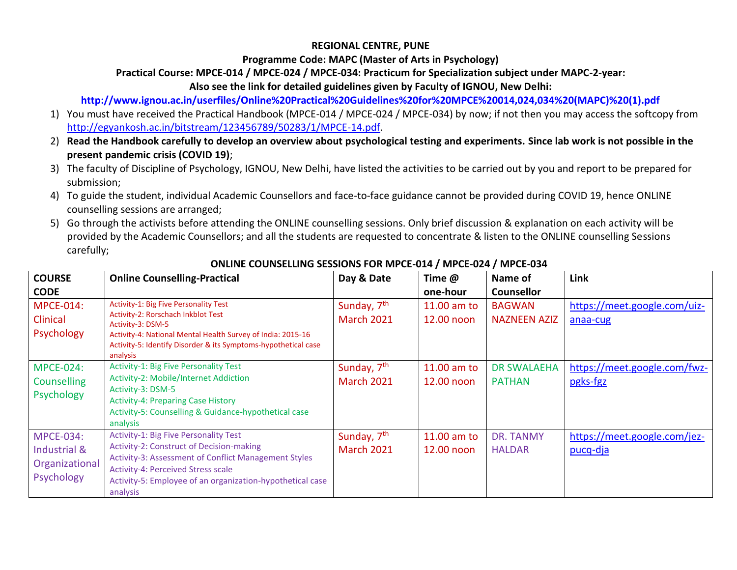### **REGIONAL CENTRE, PUNE**

#### **Programme Code: MAPC (Master of Arts in Psychology)**

## **Practical Course: MPCE-014 / MPCE-024 / MPCE-034: Practicum for Specialization subject under MAPC-2-year:**

**Also see the link for detailed guidelines given by Faculty of IGNOU, New Delhi:**

## **http://www.ignou.ac.in/userfiles/Online%20Practical%20Guidelines%20for%20MPCE%20014,024,034%20(MAPC)%20(1).pdf**

- 1) You must have received the Practical Handbook (MPCE-014 / MPCE-024 / MPCE-034) by now; if not then you may access the softcopy from [http://egyankosh.ac.in/bitstream/123456789/50283/1/MPCE-14.pdf.](http://egyankosh.ac.in/bitstream/123456789/50283/1/MPCE-14.pdf)
- 2) **Read the Handbook carefully to develop an overview about psychological testing and experiments. Since lab work is not possible in the present pandemic crisis (COVID 19)**;
- 3) The faculty of Discipline of Psychology, IGNOU, New Delhi, have listed the activities to be carried out by you and report to be prepared for submission;
- 4) To guide the student, individual Academic Counsellors and face-to-face guidance cannot be provided during COVID 19, hence ONLINE counselling sessions are arranged;
- 5) Go through the activists before attending the ONLINE counselling sessions. Only brief discussion & explanation on each activity will be provided by the Academic Counsellors; and all the students are requested to concentrate & listen to the ONLINE counselling Sessions carefully;

| <b>COURSE</b>    | <b>Online Counselling-Practical</b>                                                                                                       | Day & Date              | Time @      | Name of             | Link                         |
|------------------|-------------------------------------------------------------------------------------------------------------------------------------------|-------------------------|-------------|---------------------|------------------------------|
| <b>CODE</b>      |                                                                                                                                           |                         | one-hour    | <b>Counsellor</b>   |                              |
| <b>MPCE-014:</b> | <b>Activity-1: Big Five Personality Test</b><br>Activity-2: Rorschach Inkblot Test                                                        | Sunday, 7 <sup>th</sup> | 11.00 am to | <b>BAGWAN</b>       | https://meet.google.com/uiz- |
| Clinical         | Activity-3: DSM-5                                                                                                                         | <b>March 2021</b>       | 12.00 noon  | <b>NAZNEEN AZIZ</b> | anaa-cug                     |
| Psychology       | Activity-4: National Mental Health Survey of India: 2015-16<br>Activity-5: Identify Disorder & its Symptoms-hypothetical case<br>analysis |                         |             |                     |                              |
| <b>MPCE-024:</b> | <b>Activity-1: Big Five Personality Test</b>                                                                                              | Sunday, 7 <sup>th</sup> | 11.00 am to | <b>DR SWALAEHA</b>  | https://meet.google.com/fwz- |
| Counselling      | Activity-2: Mobile/Internet Addiction                                                                                                     | <b>March 2021</b>       | 12.00 noon  | <b>PATHAN</b>       | pgks-fgz                     |
| Psychology       | Activity-3: DSM-5                                                                                                                         |                         |             |                     |                              |
|                  | <b>Activity-4: Preparing Case History</b><br>Activity-5: Counselling & Guidance-hypothetical case                                         |                         |             |                     |                              |
|                  | analysis                                                                                                                                  |                         |             |                     |                              |
| <b>MPCE-034:</b> | <b>Activity-1: Big Five Personality Test</b>                                                                                              | Sunday, 7 <sup>th</sup> | 11.00 am to | DR. TANMY           | https://meet.google.com/jez- |
| Industrial &     | Activity-2: Construct of Decision-making                                                                                                  | <b>March 2021</b>       | 12.00 noon  | <b>HALDAR</b>       | pucq-dja                     |
| Organizational   | Activity-3: Assessment of Conflict Management Styles<br>Activity-4: Perceived Stress scale                                                |                         |             |                     |                              |
| Psychology       | Activity-5: Employee of an organization-hypothetical case                                                                                 |                         |             |                     |                              |
|                  | analysis                                                                                                                                  |                         |             |                     |                              |

## **ONLINE COUNSELLING SESSIONS FOR MPCE-014 / MPCE-024 / MPCE-034**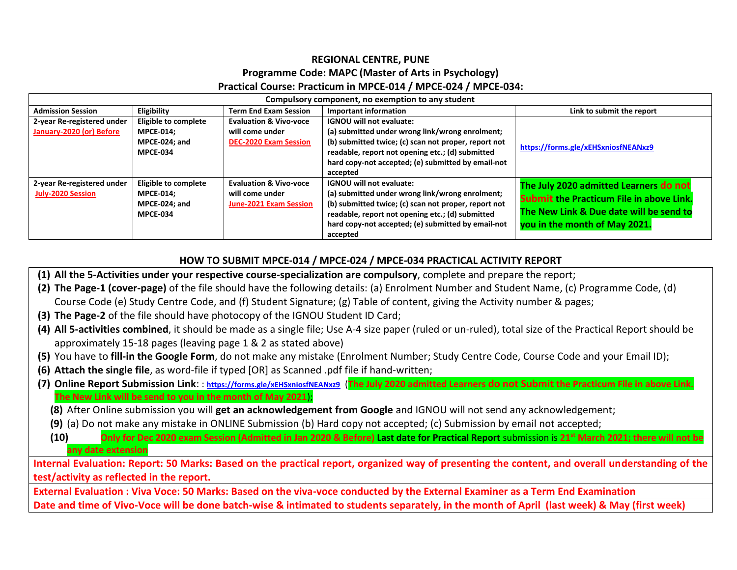# **REGIONAL CENTRE, PUNE Programme Code: MAPC (Master of Arts in Psychology) Practical Course: Practicum in MPCE-014 / MPCE-024 / MPCE-034:**

| Compulsory component, no exemption to any student      |                                                                                     |                                                                                       |                                                                                                                                                                                                                                                                  |                                                                                                                                                                       |
|--------------------------------------------------------|-------------------------------------------------------------------------------------|---------------------------------------------------------------------------------------|------------------------------------------------------------------------------------------------------------------------------------------------------------------------------------------------------------------------------------------------------------------|-----------------------------------------------------------------------------------------------------------------------------------------------------------------------|
| <b>Admission Session</b>                               | Eligibility                                                                         | <b>Term End Exam Session</b>                                                          | <b>Important information</b>                                                                                                                                                                                                                                     | Link to submit the report                                                                                                                                             |
| 2-year Re-registered under<br>January-2020 (or) Before | Eligible to complete<br><b>MPCE-014:</b><br>MPCE-024: and<br><b>MPCE-034</b>        | <b>Evaluation &amp; Vivo-voce</b><br>will come under<br><b>DEC-2020 Exam Session</b>  | <b>IGNOU will not evaluate:</b><br>(a) submitted under wrong link/wrong enrolment;<br>(b) submitted twice; (c) scan not proper, report not<br>readable, report not opening etc.; (d) submitted<br>hard copy-not accepted; (e) submitted by email-not<br>accepted | https://forms.gle/xEHSxniosfNEANxz9                                                                                                                                   |
| 2-year Re-registered under<br><b>July-2020 Session</b> | <b>Eligible to complete</b><br><b>MPCE-014:</b><br>MPCE-024; and<br><b>MPCE-034</b> | <b>Evaluation &amp; Vivo-voce</b><br>will come under<br><b>June-2021 Exam Session</b> | <b>IGNOU will not evaluate:</b><br>(a) submitted under wrong link/wrong enrolment;<br>(b) submitted twice; (c) scan not proper, report not<br>readable, report not opening etc.; (d) submitted<br>hard copy-not accepted; (e) submitted by email-not<br>accepted | The July 2020 admitted Learners do not<br><b>Submit the Practicum File in above Link.</b><br>The New Link & Due date will be send to<br>you in the month of May 2021. |

### **HOW TO SUBMIT MPCE-014 / MPCE-024 / MPCE-034 PRACTICAL ACTIVITY REPORT**

- **(1) All the 5-Activities under your respective course-specialization are compulsory**, complete and prepare the report;
- **(2) The Page-1 (cover-page)** of the file should have the following details: (a) Enrolment Number and Student Name, (c) Programme Code, (d) Course Code (e) Study Centre Code, and (f) Student Signature; (g) Table of content, giving the Activity number & pages;
- **(3) The Page-2** of the file should have photocopy of the IGNOU Student ID Card;
- **(4) All 5-activities combined**, it should be made as a single file; Use A-4 size paper (ruled or un-ruled), total size of the Practical Report should be approximately 15-18 pages (leaving page 1 & 2 as stated above)
- **(5)** You have to **fill-in the Google Form**, do not make any mistake (Enrolment Number; Study Centre Code, Course Code and your Email ID);
- **(6) Attach the single file**, as word-file if typed [OR] as Scanned .pdf file if hand-written;
- **(7) Online Report Submission Link**: : **<https://forms.gle/xEHSxniosfNEANxz9>** (**The July 2020 admitted Learners do not Submit the Practicum File in above Link. The New Link will be send to you in the month of May 2021**);
	- **(8)** After Online submission you will **get an acknowledgement from Google** and IGNOU will not send any acknowledgement;
	- **(9)** (a) Do not make any mistake in ONLINE Submission (b) Hard copy not accepted; (c) Submission by email not accepted;
	- **(10) Only for Dec 2020 exam Session (Admitted in Jan 2020 & Before) Last date for Practical Report** submission is **21 st March 2021; there will not be any date extension**

**Internal Evaluation: Report: 50 Marks: Based on the practical report, organized way of presenting the content, and overall understanding of the test/activity as reflected in the report.** 

**External Evaluation : Viva Voce: 50 Marks: Based on the viva-voce conducted by the External Examiner as a Term End Examination**

**Date and time of Vivo-Voce will be done batch-wise & intimated to students separately, in the month of April (last week) & May (first week)**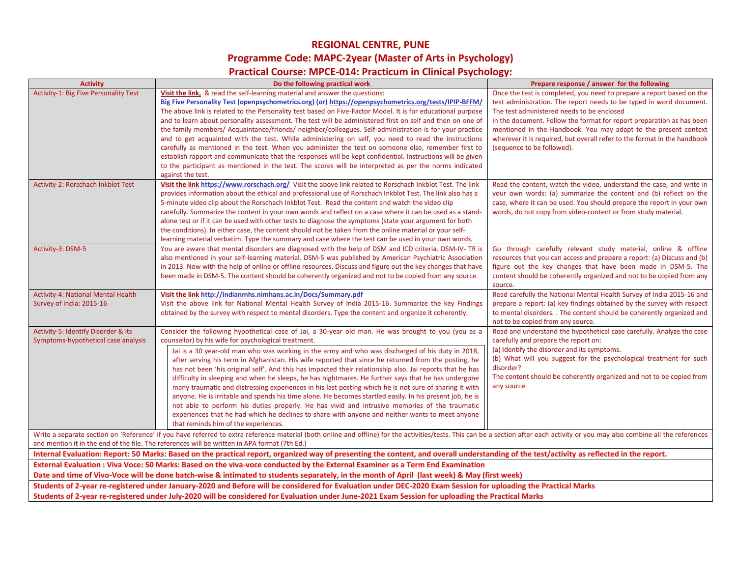## **REGIONAL CENTRE, PUNE Programme Code: MAPC-2year (Master of Arts in Psychology) Practical Course: MPCE-014: Practicum in Clinical Psychology:**

| <b>Activity</b>                                                            | Do the following practical work                                                                                                                                                                                                | Prepare response / answer for the following                                                                                               |
|----------------------------------------------------------------------------|--------------------------------------------------------------------------------------------------------------------------------------------------------------------------------------------------------------------------------|-------------------------------------------------------------------------------------------------------------------------------------------|
| Activity-1: Big Five Personality Test                                      | Visit the link, & read the self-learning material and answer the questions:                                                                                                                                                    | Once the test is completed, you need to prepare a report based on the                                                                     |
|                                                                            | Big Five Personality Test (openpsychometrics.org) (or) https://openpsychometrics.org/tests/IPIP-BFFM/                                                                                                                          | test administration. The report needs to be typed in word document.                                                                       |
|                                                                            | The above link is related to the Personality test based on Five-Factor Model. It is for educational purpose<br>and to learn about personality assessment. The test will be administered first on self and then on one of       | The test administered needs to be enclosed                                                                                                |
|                                                                            | the family members/ Acquaintance/friends/ neighbor/colleagues. Self-administration is for your practice                                                                                                                        | in the document. Follow the format for report preparation as has been<br>mentioned in the Handbook. You may adapt to the present context  |
|                                                                            | and to get acquainted with the test. While administering on self, you need to read the instructions                                                                                                                            | wherever it is required, but overall refer to the format in the handbook                                                                  |
|                                                                            | carefully as mentioned in the test. When you administer the test on someone else, remember first to                                                                                                                            | (sequence to be followed).                                                                                                                |
|                                                                            | establish rapport and communicate that the responses will be kept confidential. Instructions will be given                                                                                                                     |                                                                                                                                           |
|                                                                            | to the participant as mentioned in the test. The scores will be interpreted as per the norms indicated                                                                                                                         |                                                                                                                                           |
|                                                                            | against the test.                                                                                                                                                                                                              |                                                                                                                                           |
| Activity-2: Rorschach Inkblot Test                                         | Visit the link https://www.rorschach.org/ Visit the above link related to Rorschach Inkblot Test. The link                                                                                                                     | Read the content, watch the video, understand the case, and write in                                                                      |
|                                                                            | provides information about the ethical and professional use of Rorschach Inkblot Test. The link also has a<br>5-minute video clip about the Rorschach Inkblot Test. Read the content and watch the video clip                  | your own words: (a) summarize the content and (b) reflect on the<br>case, where it can be used. You should prepare the report in your own |
|                                                                            | carefully. Summarize the content in your own words and reflect on a case where it can be used as a stand-                                                                                                                      | words, do not copy from video-content or from study material.                                                                             |
|                                                                            | alone test or if it can be used with other tests to diagnose the symptoms (state your argument for both                                                                                                                        |                                                                                                                                           |
|                                                                            | the conditions). In either case, the content should not be taken from the online material or your self-                                                                                                                        |                                                                                                                                           |
|                                                                            | learning material verbatim. Type the summary and case where the test can be used in your own words.                                                                                                                            |                                                                                                                                           |
| Activity-3: DSM-5                                                          | You are aware that mental disorders are diagnosed with the help of DSM and ICD criteria. DSM-IV- TR is                                                                                                                         | Go through carefully relevant study material, online & offline                                                                            |
|                                                                            | also mentioned in your self-learning material. DSM-5 was published by American Psychiatric Association                                                                                                                         | resources that you can access and prepare a report: (a) Discuss and (b)                                                                   |
|                                                                            | in 2013. Now with the help of online or offline resources, Discuss and figure out the key changes that have                                                                                                                    | figure out the key changes that have been made in DSM-5. The                                                                              |
|                                                                            | been made in DSM-5. The content should be coherently organized and not to be copied from any source.                                                                                                                           | content should be coherently organized and not to be copied from any<br>source.                                                           |
| Activity-4: National Mental Health                                         | Visit the link http://indianmhs.nimhans.ac.in/Docs/Summary.pdf                                                                                                                                                                 | Read carefully the National Mental Health Survey of India 2015-16 and                                                                     |
| Survey of India: 2015-16                                                   | Visit the above link for National Mental Health Survey of India 2015-16. Summarize the key Findings                                                                                                                            | prepare a report: (a) key findings obtained by the survey with respect                                                                    |
|                                                                            | obtained by the survey with respect to mental disorders. Type the content and organize it coherently.                                                                                                                          | to mental disorders. . The content should be coherently organized and                                                                     |
|                                                                            |                                                                                                                                                                                                                                | not to be copied from any source.                                                                                                         |
| Activity-5: Identify Disorder & its<br>Symptoms-hypothetical case analysis | Consider the following hypothetical case of Jai, a 30-year old man. He was brought to you (you as a<br>counsellor) by his wife for psychological treatment.                                                                    | Read and understand the hypothetical case carefully. Analyze the case<br>carefully and prepare the report on:                             |
|                                                                            | Jai is a 30 year-old man who was working in the army and who was discharged of his duty in 2018,                                                                                                                               | (a) Identify the disorder and its symptoms.                                                                                               |
|                                                                            | after serving his term in Afghanistan. His wife reported that since he returned from the posting, he                                                                                                                           | (b) What will you suggest for the psychological treatment for such                                                                        |
|                                                                            | has not been 'his original self'. And this has impacted their relationship also. Jai reports that he has                                                                                                                       | disorder?                                                                                                                                 |
|                                                                            | difficulty in sleeping and when he sleeps, he has nightmares. He further says that he has undergone                                                                                                                            | The content should be coherently organized and not to be copied from                                                                      |
|                                                                            | many traumatic and distressing experiences in his last posting which he is not sure of sharing it with                                                                                                                         | any source.                                                                                                                               |
|                                                                            | anyone. He is irritable and spends his time alone. He becomes startled easily. In his present job, he is                                                                                                                       |                                                                                                                                           |
|                                                                            | not able to perform his duties properly. He has vivid and intrusive memories of the traumatic                                                                                                                                  |                                                                                                                                           |
|                                                                            | experiences that he had which he declines to share with anyone and neither wants to meet anyone<br>that reminds him of the experiences.                                                                                        |                                                                                                                                           |
|                                                                            | Write a separate section on 'Reference' if you have referred to extra reference material (both online and offline) for the activities/tests. This can be a section after each activity or you may also combine all the referen |                                                                                                                                           |
|                                                                            | and mention it in the end of the file. The references will be written in APA format (7th Ed.)                                                                                                                                  |                                                                                                                                           |
|                                                                            | Internal Evaluation: Report: 50 Marks: Based on the practical report, organized way of presenting the content, and overall understanding of the test/activity as reflected in the report.                                      |                                                                                                                                           |
|                                                                            | External Evaluation: Viva Voce: 50 Marks: Based on the viva-voce conducted by the External Examiner as a Term End Examination                                                                                                  |                                                                                                                                           |
|                                                                            | Date and time of Vivo-Voce will be done batch-wise & intimated to students separately, in the month of April (last week) & May (first week)                                                                                    |                                                                                                                                           |
|                                                                            | Students of 2-year re-registered under January-2020 and Before will be considered for Evaluation under DEC-2020 Exam Session for uploading the Practical Marks                                                                 |                                                                                                                                           |
|                                                                            | Students of 2-year re-registered under July-2020 will be considered for Evaluation under June-2021 Exam Session for uploading the Practical Marks                                                                              |                                                                                                                                           |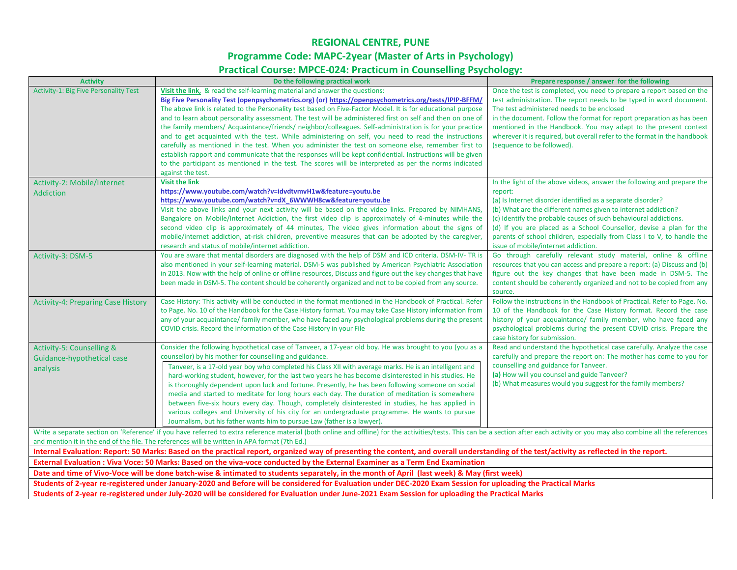### **REGIONAL CENTRE, PUNE Programme Code: MAPC-2year (Master of Arts in Psychology) Practical Course: MPCE-024: Practicum in Counselling Psychology:**

| <b>Activity</b>                                                                                                                                   | Do the following practical work                                                                                                                                                                                                | Prepare response / answer for the following                                                                                               |  |  |
|---------------------------------------------------------------------------------------------------------------------------------------------------|--------------------------------------------------------------------------------------------------------------------------------------------------------------------------------------------------------------------------------|-------------------------------------------------------------------------------------------------------------------------------------------|--|--|
| Activity-1: Big Five Personality Test                                                                                                             | Visit the link, & read the self-learning material and answer the questions:                                                                                                                                                    | Once the test is completed, you need to prepare a report based on the                                                                     |  |  |
|                                                                                                                                                   | Big Five Personality Test (openpsychometrics.org) (or) https://openpsychometrics.org/tests/IPIP-BFFM/                                                                                                                          | test administration. The report needs to be typed in word document.                                                                       |  |  |
|                                                                                                                                                   | The above link is related to the Personality test based on Five-Factor Model. It is for educational purpose<br>and to learn about personality assessment. The test will be administered first on self and then on one of       | The test administered needs to be enclosed<br>in the document. Follow the format for report preparation as has been                       |  |  |
|                                                                                                                                                   | the family members/ Acquaintance/friends/ neighbor/colleagues. Self-administration is for your practice                                                                                                                        | mentioned in the Handbook. You may adapt to the present context                                                                           |  |  |
|                                                                                                                                                   | and to get acquainted with the test. While administering on self, you need to read the instructions                                                                                                                            | wherever it is required, but overall refer to the format in the handbook                                                                  |  |  |
|                                                                                                                                                   | carefully as mentioned in the test. When you administer the test on someone else, remember first to                                                                                                                            | (sequence to be followed).                                                                                                                |  |  |
|                                                                                                                                                   | establish rapport and communicate that the responses will be kept confidential. Instructions will be given                                                                                                                     |                                                                                                                                           |  |  |
|                                                                                                                                                   | to the participant as mentioned in the test. The scores will be interpreted as per the norms indicated                                                                                                                         |                                                                                                                                           |  |  |
|                                                                                                                                                   | against the test.                                                                                                                                                                                                              |                                                                                                                                           |  |  |
| Activity-2: Mobile/Internet                                                                                                                       | <b>Visit the link</b><br>https://www.youtube.com/watch?v=idvdtvmvH1w&feature=youtu.be                                                                                                                                          | In the light of the above videos, answer the following and prepare the<br>report:                                                         |  |  |
| Addiction                                                                                                                                         | https://www.youtube.com/watch?v=dX 6WWWH8cw&feature=youtu.be                                                                                                                                                                   | (a) Is Internet disorder identified as a separate disorder?                                                                               |  |  |
|                                                                                                                                                   | Visit the above links and your next activity will be based on the video links. Prepared by NIMHANS,                                                                                                                            | (b) What are the different names given to internet addiction?                                                                             |  |  |
|                                                                                                                                                   | Bangalore on Mobile/Internet Addiction, the first video clip is approximately of 4-minutes while the                                                                                                                           | (c) Identify the probable causes of such behavioural addictions.                                                                          |  |  |
|                                                                                                                                                   | second video clip is approximately of 44 minutes, The video gives information about the signs of                                                                                                                               | (d) If you are placed as a School Counsellor, devise a plan for the                                                                       |  |  |
|                                                                                                                                                   | mobile/internet addiction, at-risk children, preventive measures that can be adopted by the caregiver,                                                                                                                         | parents of school children, especially from Class I to V, to handle the                                                                   |  |  |
|                                                                                                                                                   | research and status of mobile/internet addiction.                                                                                                                                                                              | issue of mobile/internet addiction.                                                                                                       |  |  |
| Activity-3: DSM-5                                                                                                                                 | You are aware that mental disorders are diagnosed with the help of DSM and ICD criteria. DSM-IV- TR is                                                                                                                         | Go through carefully relevant study material, online & offline<br>resources that you can access and prepare a report: (a) Discuss and (b) |  |  |
|                                                                                                                                                   | also mentioned in your self-learning material. DSM-5 was published by American Psychiatric Association<br>in 2013. Now with the help of online or offline resources, Discuss and figure out the key changes that have          | figure out the key changes that have been made in DSM-5. The                                                                              |  |  |
|                                                                                                                                                   | been made in DSM-5. The content should be coherently organized and not to be copied from any source.                                                                                                                           | content should be coherently organized and not to be copied from any                                                                      |  |  |
|                                                                                                                                                   |                                                                                                                                                                                                                                | source.                                                                                                                                   |  |  |
| <b>Activity-4: Preparing Case History</b>                                                                                                         | Case History: This activity will be conducted in the format mentioned in the Handbook of Practical. Refer                                                                                                                      | Follow the instructions in the Handbook of Practical. Refer to Page. No.                                                                  |  |  |
|                                                                                                                                                   | to Page. No. 10 of the Handbook for the Case History format. You may take Case History information from                                                                                                                        | 10 of the Handbook for the Case History format. Record the case                                                                           |  |  |
|                                                                                                                                                   | any of your acquaintance/ family member, who have faced any psychological problems during the present                                                                                                                          | history of your acquaintance/ family member, who have faced any                                                                           |  |  |
|                                                                                                                                                   | COVID crisis. Record the information of the Case History in your File                                                                                                                                                          | psychological problems during the present COVID crisis. Prepare the<br>case history for submission.                                       |  |  |
| Activity-5: Counselling &                                                                                                                         | Consider the following hypothetical case of Tanveer, a 17-year old boy. He was brought to you (you as a                                                                                                                        | Read and understand the hypothetical case carefully. Analyze the case                                                                     |  |  |
| Guidance-hypothetical case                                                                                                                        | counsellor) by his mother for counselling and guidance.                                                                                                                                                                        | carefully and prepare the report on: The mother has come to you for                                                                       |  |  |
| analysis                                                                                                                                          | Tanveer, is a 17-old year boy who completed his Class XII with average marks. He is an intelligent and                                                                                                                         | counselling and guidance for Tanveer.                                                                                                     |  |  |
|                                                                                                                                                   | hard-working student, however, for the last two years he has become disinterested in his studies. He                                                                                                                           | (a) How will you counsel and guide Tanveer?                                                                                               |  |  |
|                                                                                                                                                   | is thoroughly dependent upon luck and fortune. Presently, he has been following someone on social                                                                                                                              | (b) What measures would you suggest for the family members?                                                                               |  |  |
|                                                                                                                                                   | media and started to meditate for long hours each day. The duration of meditation is somewhere<br>between five-six hours every day. Though, completely disinterested in studies, he has applied in                             |                                                                                                                                           |  |  |
|                                                                                                                                                   | various colleges and University of his city for an undergraduate programme. He wants to pursue                                                                                                                                 |                                                                                                                                           |  |  |
|                                                                                                                                                   | Journalism, but his father wants him to pursue Law (father is a lawyer).                                                                                                                                                       |                                                                                                                                           |  |  |
|                                                                                                                                                   | Write a separate section on 'Reference' if you have referred to extra reference material (both online and offline) for the activities/tests. This can be a section after each activity or you may also combine all the referen |                                                                                                                                           |  |  |
|                                                                                                                                                   | and mention it in the end of the file. The references will be written in APA format (7th Ed.)                                                                                                                                  |                                                                                                                                           |  |  |
|                                                                                                                                                   | Internal Evaluation: Report: 50 Marks: Based on the practical report, organized way of presenting the content, and overall understanding of the test/activity as reflected in the report.                                      |                                                                                                                                           |  |  |
|                                                                                                                                                   | External Evaluation : Viva Voce: 50 Marks: Based on the viva-voce conducted by the External Examiner as a Term End Examination                                                                                                 |                                                                                                                                           |  |  |
| Date and time of Vivo-Voce will be done batch-wise & intimated to students separately, in the month of April (last week) & May (first week)       |                                                                                                                                                                                                                                |                                                                                                                                           |  |  |
|                                                                                                                                                   | Students of 2-year re-registered under January-2020 and Before will be considered for Evaluation under DEC-2020 Exam Session for uploading the Practical Marks                                                                 |                                                                                                                                           |  |  |
| Students of 2-year re-registered under July-2020 will be considered for Evaluation under June-2021 Exam Session for uploading the Practical Marks |                                                                                                                                                                                                                                |                                                                                                                                           |  |  |